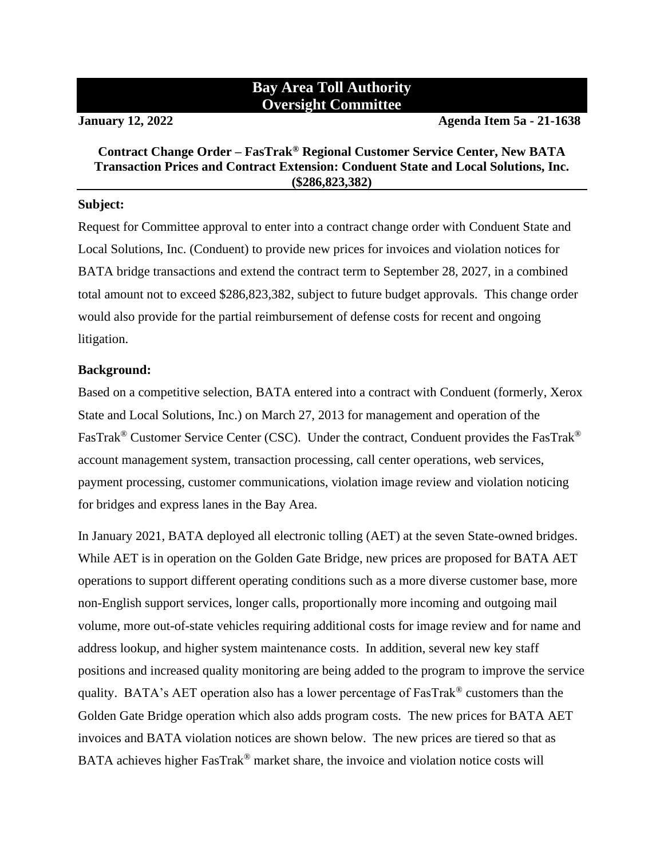## **Bay Area Toll Authority Oversight Committee**

**January 12, 2022 Agenda Item 5a - 21-1638**

#### **Contract Change Order – FasTrak® Regional Customer Service Center, New BATA Transaction Prices and Contract Extension: Conduent State and Local Solutions, Inc. (\$286,823,382)**

#### **Subject:**

Request for Committee approval to enter into a contract change order with Conduent State and Local Solutions, Inc. (Conduent) to provide new prices for invoices and violation notices for BATA bridge transactions and extend the contract term to September 28, 2027, in a combined total amount not to exceed \$286,823,382, subject to future budget approvals. This change order would also provide for the partial reimbursement of defense costs for recent and ongoing litigation.

#### **Background:**

Based on a competitive selection, BATA entered into a contract with Conduent (formerly, Xerox State and Local Solutions, Inc.) on March 27, 2013 for management and operation of the FasTrak<sup>®</sup> Customer Service Center (CSC). Under the contract, Conduent provides the FasTrak<sup>®</sup> account management system, transaction processing, call center operations, web services, payment processing, customer communications, violation image review and violation noticing for bridges and express lanes in the Bay Area.

In January 2021, BATA deployed all electronic tolling (AET) at the seven State-owned bridges. While AET is in operation on the Golden Gate Bridge, new prices are proposed for BATA AET operations to support different operating conditions such as a more diverse customer base, more non-English support services, longer calls, proportionally more incoming and outgoing mail volume, more out-of-state vehicles requiring additional costs for image review and for name and address lookup, and higher system maintenance costs. In addition, several new key staff positions and increased quality monitoring are being added to the program to improve the service quality. BATA's AET operation also has a lower percentage of FasTrak® customers than the Golden Gate Bridge operation which also adds program costs. The new prices for BATA AET invoices and BATA violation notices are shown below. The new prices are tiered so that as BATA achieves higher FasTrak<sup>®</sup> market share, the invoice and violation notice costs will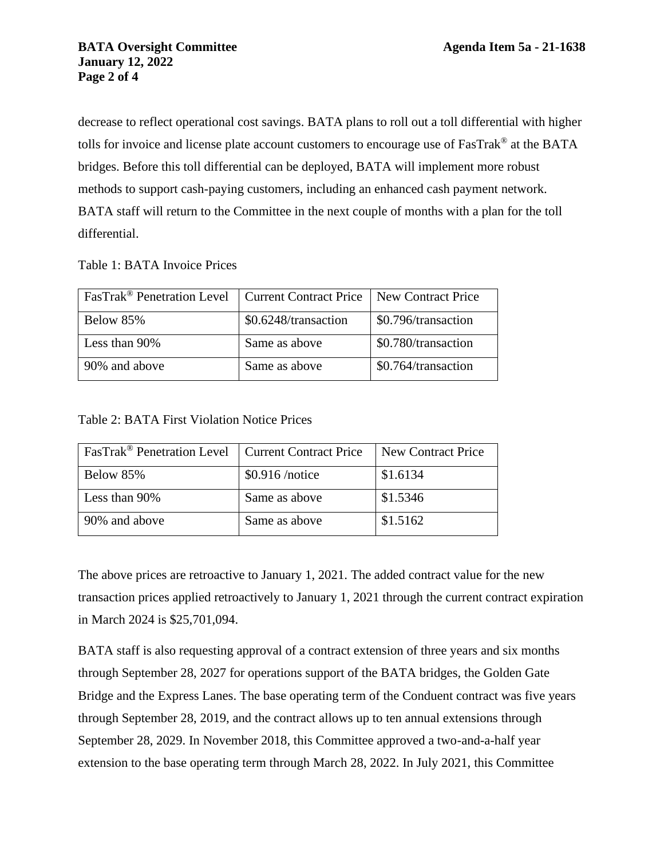decrease to reflect operational cost savings. BATA plans to roll out a toll differential with higher tolls for invoice and license plate account customers to encourage use of FasTrak® at the BATA bridges. Before this toll differential can be deployed, BATA will implement more robust methods to support cash-paying customers, including an enhanced cash payment network. BATA staff will return to the Committee in the next couple of months with a plan for the toll differential.

Table 1: BATA Invoice Prices

| FasTrak <sup>®</sup> Penetration Level   Current Contract Price   New Contract Price |                      |                     |
|--------------------------------------------------------------------------------------|----------------------|---------------------|
| Below 85%                                                                            | \$0.6248/transaction | \$0.796/transaction |
| Less than 90%                                                                        | Same as above        | \$0.780/transaction |
| 90% and above                                                                        | Same as above        | \$0.764/transaction |

Table 2: BATA First Violation Notice Prices

| FasTrak <sup>®</sup> Penetration Level   Current Contract Price |                  | New Contract Price |
|-----------------------------------------------------------------|------------------|--------------------|
| Below 85%                                                       | $$0.916$ /notice | \$1.6134           |
| Less than 90%                                                   | Same as above    | \$1.5346           |
| 90% and above                                                   | Same as above    | \$1.5162           |

The above prices are retroactive to January 1, 2021. The added contract value for the new transaction prices applied retroactively to January 1, 2021 through the current contract expiration in March 2024 is \$25,701,094.

BATA staff is also requesting approval of a contract extension of three years and six months through September 28, 2027 for operations support of the BATA bridges, the Golden Gate Bridge and the Express Lanes. The base operating term of the Conduent contract was five years through September 28, 2019, and the contract allows up to ten annual extensions through September 28, 2029. In November 2018, this Committee approved a two-and-a-half year extension to the base operating term through March 28, 2022. In July 2021, this Committee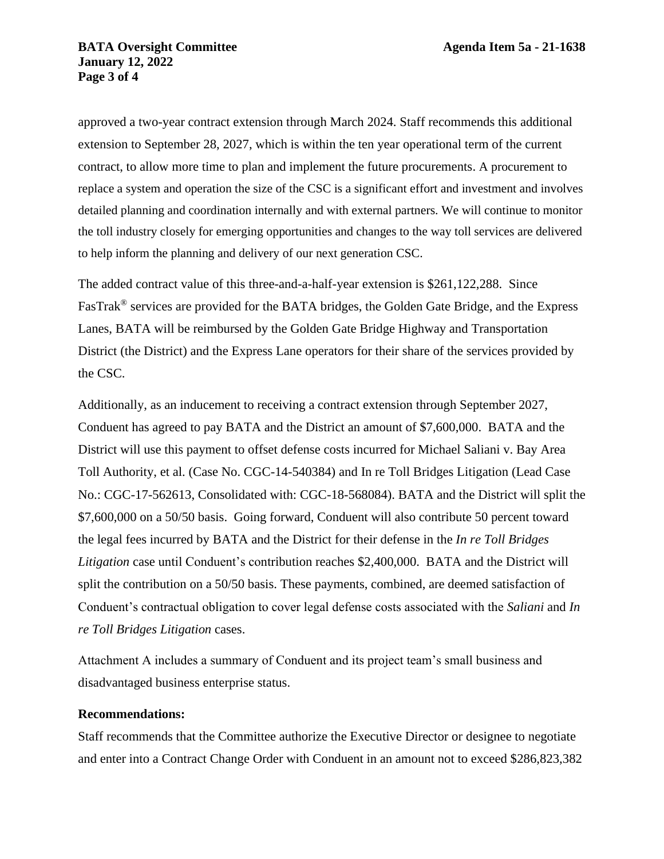approved a two-year contract extension through March 2024. Staff recommends this additional extension to September 28, 2027, which is within the ten year operational term of the current contract, to allow more time to plan and implement the future procurements. A procurement to replace a system and operation the size of the CSC is a significant effort and investment and involves detailed planning and coordination internally and with external partners. We will continue to monitor the toll industry closely for emerging opportunities and changes to the way toll services are delivered to help inform the planning and delivery of our next generation CSC.

The added contract value of this three-and-a-half-year extension is \$261,122,288. Since FasTrak® services are provided for the BATA bridges, the Golden Gate Bridge, and the Express Lanes, BATA will be reimbursed by the Golden Gate Bridge Highway and Transportation District (the District) and the Express Lane operators for their share of the services provided by the CSC.

Additionally, as an inducement to receiving a contract extension through September 2027, Conduent has agreed to pay BATA and the District an amount of \$7,600,000. BATA and the District will use this payment to offset defense costs incurred for Michael Saliani v. Bay Area Toll Authority, et al. (Case No. CGC-14-540384) and In re Toll Bridges Litigation (Lead Case No.: CGC-17-562613, Consolidated with: CGC-18-568084). BATA and the District will split the \$7,600,000 on a 50/50 basis. Going forward, Conduent will also contribute 50 percent toward the legal fees incurred by BATA and the District for their defense in the *In re Toll Bridges Litigation* case until Conduent's contribution reaches \$2,400,000. BATA and the District will split the contribution on a 50/50 basis. These payments, combined, are deemed satisfaction of Conduent's contractual obligation to cover legal defense costs associated with the *Saliani* and *In re Toll Bridges Litigation* cases.

Attachment A includes a summary of Conduent and its project team's small business and disadvantaged business enterprise status.

#### **Recommendations:**

Staff recommends that the Committee authorize the Executive Director or designee to negotiate and enter into a Contract Change Order with Conduent in an amount not to exceed \$286,823,382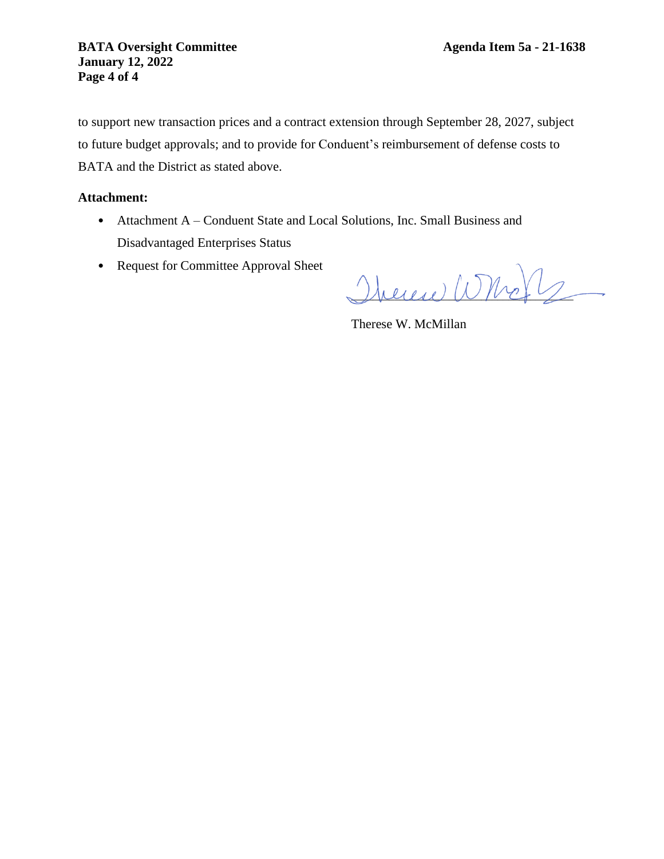to support new transaction prices and a contract extension through September 28, 2027, subject to future budget approvals; and to provide for Conduent's reimbursement of defense costs to BATA and the District as stated above.

#### **Attachment:**

- Attachment A Conduent State and Local Solutions, Inc. Small Business and Disadvantaged Enterprises Status
- Request for Committee Approval Sheet

 $\mu$ eren Who $\nu$ 

Therese W. McMillan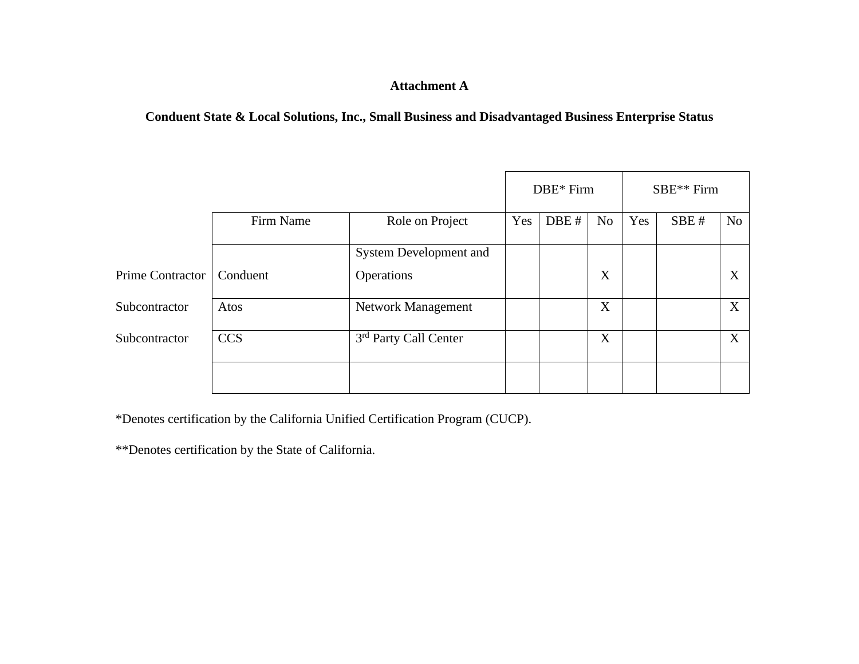### **Attachment A**

**Conduent State & Local Solutions, Inc., Small Business and Disadvantaged Business Enterprise Status**

|                  |            |                                   | DBE* Firm |      | SBE** Firm     |     |      |                  |
|------------------|------------|-----------------------------------|-----------|------|----------------|-----|------|------------------|
|                  | Firm Name  | Role on Project                   | Yes       | DBE# | N <sub>o</sub> | Yes | SBE# | No               |
|                  |            | <b>System Development and</b>     |           |      |                |     |      |                  |
| Prime Contractor | Conduent   | Operations                        |           |      | X              |     |      | X                |
| Subcontractor    | Atos       | Network Management                |           |      | X              |     |      | $\boldsymbol{X}$ |
| Subcontractor    | <b>CCS</b> | 3 <sup>rd</sup> Party Call Center |           |      | X              |     |      | X                |
|                  |            |                                   |           |      |                |     |      |                  |

\*Denotes certification by the California Unified Certification Program (CUCP).

\*\*Denotes certification by the State of California.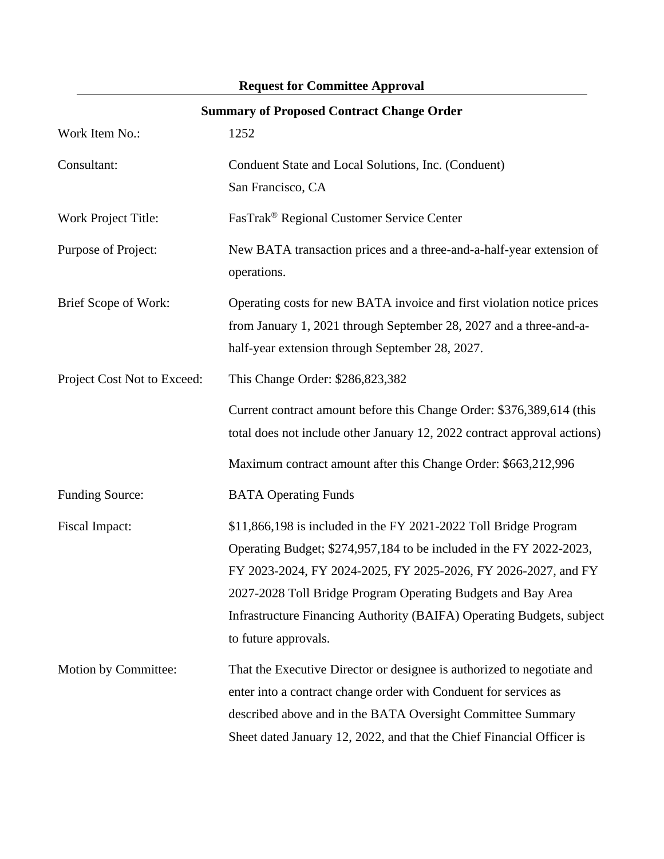| <b>Summary of Proposed Contract Change Order</b> |                                                                                                                                                                                                                                                                                                                                                                            |  |  |
|--------------------------------------------------|----------------------------------------------------------------------------------------------------------------------------------------------------------------------------------------------------------------------------------------------------------------------------------------------------------------------------------------------------------------------------|--|--|
| Work Item No.:                                   | 1252                                                                                                                                                                                                                                                                                                                                                                       |  |  |
| Consultant:                                      | Conduent State and Local Solutions, Inc. (Conduent)<br>San Francisco, CA                                                                                                                                                                                                                                                                                                   |  |  |
| Work Project Title:                              | FasTrak® Regional Customer Service Center                                                                                                                                                                                                                                                                                                                                  |  |  |
| Purpose of Project:                              | New BATA transaction prices and a three-and-a-half-year extension of<br>operations.                                                                                                                                                                                                                                                                                        |  |  |
| Brief Scope of Work:                             | Operating costs for new BATA invoice and first violation notice prices<br>from January 1, 2021 through September 28, 2027 and a three-and-a-<br>half-year extension through September 28, 2027.                                                                                                                                                                            |  |  |
| Project Cost Not to Exceed:                      | This Change Order: \$286,823,382                                                                                                                                                                                                                                                                                                                                           |  |  |
|                                                  | Current contract amount before this Change Order: \$376,389,614 (this<br>total does not include other January 12, 2022 contract approval actions)                                                                                                                                                                                                                          |  |  |
|                                                  | Maximum contract amount after this Change Order: \$663,212,996                                                                                                                                                                                                                                                                                                             |  |  |
| <b>Funding Source:</b>                           | <b>BATA Operating Funds</b>                                                                                                                                                                                                                                                                                                                                                |  |  |
| Fiscal Impact:                                   | \$11,866,198 is included in the FY 2021-2022 Toll Bridge Program<br>Operating Budget; \$274,957,184 to be included in the FY 2022-2023,<br>FY 2023-2024, FY 2024-2025, FY 2025-2026, FY 2026-2027, and FY<br>2027-2028 Toll Bridge Program Operating Budgets and Bay Area<br>Infrastructure Financing Authority (BAIFA) Operating Budgets, subject<br>to future approvals. |  |  |
| Motion by Committee:                             | That the Executive Director or designee is authorized to negotiate and<br>enter into a contract change order with Conduent for services as<br>described above and in the BATA Oversight Committee Summary<br>Sheet dated January 12, 2022, and that the Chief Financial Officer is                                                                                         |  |  |

# **Request for Committee Approval**